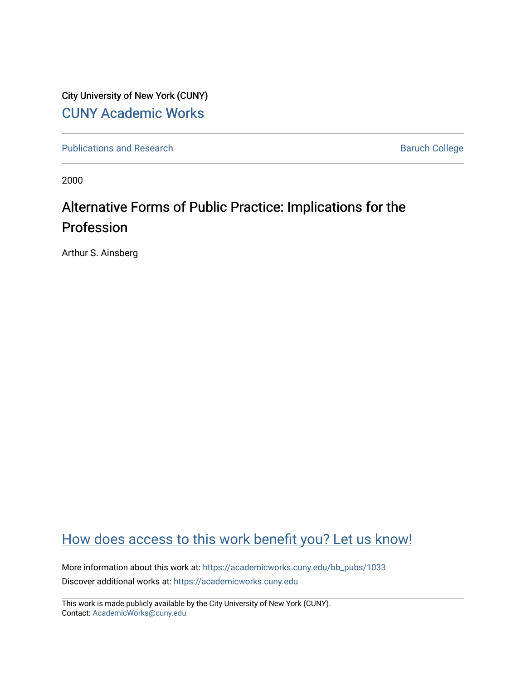City University of New York (CUNY) [CUNY Academic Works](https://academicworks.cuny.edu/) 

[Publications and Research](https://academicworks.cuny.edu/bb_pubs) **Baruch College** Baruch College

2000

## Alternative Forms of Public Practice: Implications for the Profession

Arthur S. Ainsberg

## [How does access to this work benefit you? Let us know!](http://ols.cuny.edu/academicworks/?ref=https://academicworks.cuny.edu/bb_pubs/1033)

More information about this work at: [https://academicworks.cuny.edu/bb\\_pubs/1033](https://academicworks.cuny.edu/bb_pubs/1033) Discover additional works at: [https://academicworks.cuny.edu](https://academicworks.cuny.edu/?)

This work is made publicly available by the City University of New York (CUNY). Contact: [AcademicWorks@cuny.edu](mailto:AcademicWorks@cuny.edu)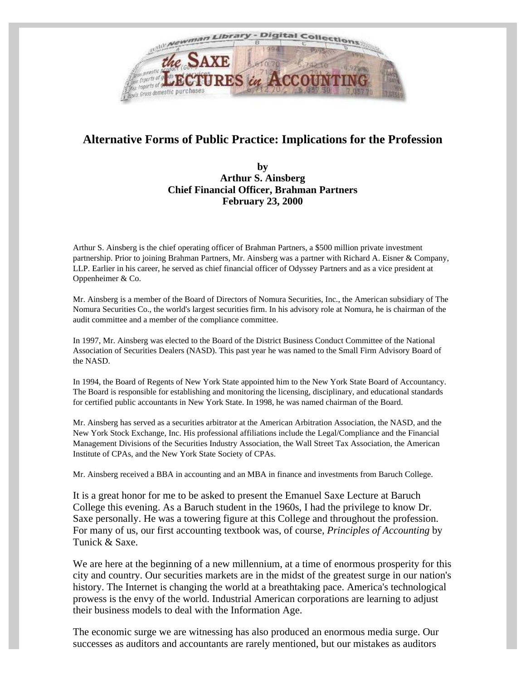

## **Alternative Forms of Public Practice: Implications for the Profession**

## **by Arthur S. Ainsberg Chief Financial Officer, Brahman Partners February 23, 2000**

Arthur S. Ainsberg is the chief operating officer of Brahman Partners, a \$500 million private investment partnership. Prior to joining Brahman Partners, Mr. Ainsberg was a partner with Richard A. Eisner & Company, LLP. Earlier in his career, he served as chief financial officer of Odyssey Partners and as a vice president at Oppenheimer & Co.

Mr. Ainsberg is a member of the Board of Directors of Nomura Securities, Inc., the American subsidiary of The Nomura Securities Co., the world's largest securities firm. In his advisory role at Nomura, he is chairman of the audit committee and a member of the compliance committee.

In 1997, Mr. Ainsberg was elected to the Board of the District Business Conduct Committee of the National Association of Securities Dealers (NASD). This past year he was named to the Small Firm Advisory Board of the NASD.

In 1994, the Board of Regents of New York State appointed him to the New York State Board of Accountancy. The Board is responsible for establishing and monitoring the licensing, disciplinary, and educational standards for certified public accountants in New York State. In 1998, he was named chairman of the Board.

Mr. Ainsberg has served as a securities arbitrator at the American Arbitration Association, the NASD, and the New York Stock Exchange, Inc. His professional affiliations include the Legal/Compliance and the Financial Management Divisions of the Securities Industry Association, the Wall Street Tax Association, the American Institute of CPAs, and the New York State Society of CPAs.

Mr. Ainsberg received a BBA in accounting and an MBA in finance and investments from Baruch College.

It is a great honor for me to be asked to present the Emanuel Saxe Lecture at Baruch College this evening. As a Baruch student in the 1960s, I had the privilege to know Dr. Saxe personally. He was a towering figure at this College and throughout the profession. For many of us, our first accounting textbook was, of course, *Principles of Accounting* by Tunick & Saxe.

We are here at the beginning of a new millennium, at a time of enormous prosperity for this city and country. Our securities markets are in the midst of the greatest surge in our nation's history. The Internet is changing the world at a breathtaking pace. America's technological prowess is the envy of the world. Industrial American corporations are learning to adjust their business models to deal with the Information Age.

The economic surge we are witnessing has also produced an enormous media surge. Our successes as auditors and accountants are rarely mentioned, but our mistakes as auditors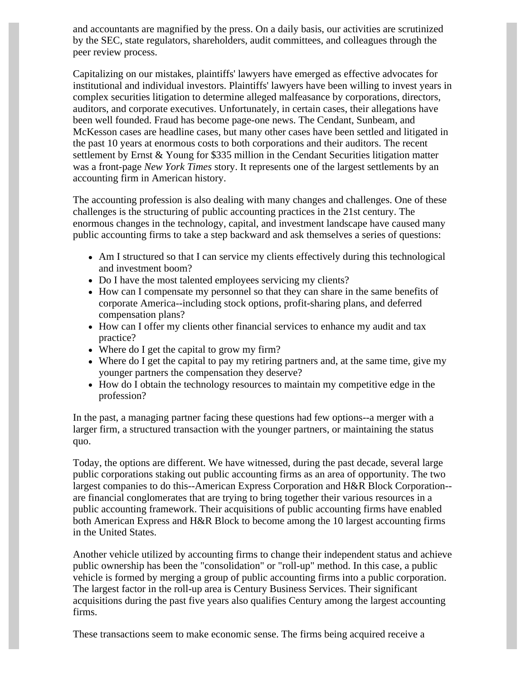and accountants are magnified by the press. On a daily basis, our activities are scrutinized by the SEC, state regulators, shareholders, audit committees, and colleagues through the peer review process.

Capitalizing on our mistakes, plaintiffs' lawyers have emerged as effective advocates for institutional and individual investors. Plaintiffs' lawyers have been willing to invest years in complex securities litigation to determine alleged malfeasance by corporations, directors, auditors, and corporate executives. Unfortunately, in certain cases, their allegations have been well founded. Fraud has become page-one news. The Cendant, Sunbeam, and McKesson cases are headline cases, but many other cases have been settled and litigated in the past 10 years at enormous costs to both corporations and their auditors. The recent settlement by Ernst & Young for \$335 million in the Cendant Securities litigation matter was a front-page *New York Times* story. It represents one of the largest settlements by an accounting firm in American history.

The accounting profession is also dealing with many changes and challenges. One of these challenges is the structuring of public accounting practices in the 21st century. The enormous changes in the technology, capital, and investment landscape have caused many public accounting firms to take a step backward and ask themselves a series of questions:

- Am I structured so that I can service my clients effectively during this technological and investment boom?
- Do I have the most talented employees servicing my clients?
- How can I compensate my personnel so that they can share in the same benefits of corporate America--including stock options, profit-sharing plans, and deferred compensation plans?
- How can I offer my clients other financial services to enhance my audit and tax practice?
- Where do I get the capital to grow my firm?
- Where do I get the capital to pay my retiring partners and, at the same time, give my younger partners the compensation they deserve?
- How do I obtain the technology resources to maintain my competitive edge in the profession?

In the past, a managing partner facing these questions had few options--a merger with a larger firm, a structured transaction with the younger partners, or maintaining the status quo.

Today, the options are different. We have witnessed, during the past decade, several large public corporations staking out public accounting firms as an area of opportunity. The two largest companies to do this--American Express Corporation and H&R Block Corporation- are financial conglomerates that are trying to bring together their various resources in a public accounting framework. Their acquisitions of public accounting firms have enabled both American Express and H&R Block to become among the 10 largest accounting firms in the United States.

Another vehicle utilized by accounting firms to change their independent status and achieve public ownership has been the "consolidation" or "roll-up" method. In this case, a public vehicle is formed by merging a group of public accounting firms into a public corporation. The largest factor in the roll-up area is Century Business Services. Their significant acquisitions during the past five years also qualifies Century among the largest accounting firms.

These transactions seem to make economic sense. The firms being acquired receive a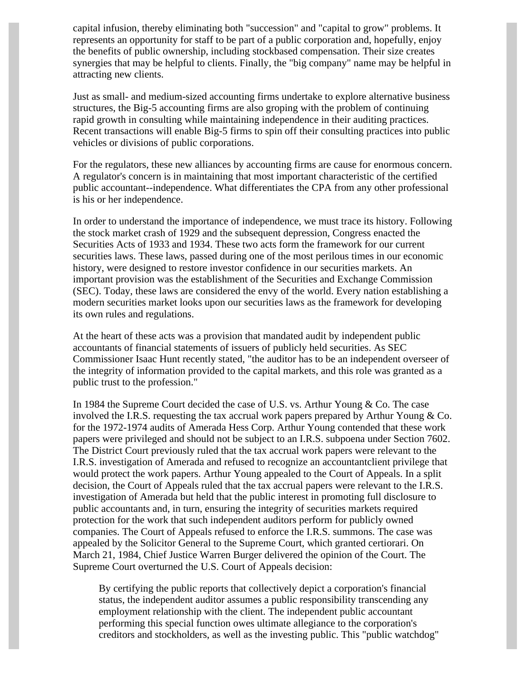capital infusion, thereby eliminating both "succession" and "capital to grow" problems. It represents an opportunity for staff to be part of a public corporation and, hopefully, enjoy the benefits of public ownership, including stockbased compensation. Their size creates synergies that may be helpful to clients. Finally, the "big company" name may be helpful in attracting new clients.

Just as small- and medium-sized accounting firms undertake to explore alternative business structures, the Big-5 accounting firms are also groping with the problem of continuing rapid growth in consulting while maintaining independence in their auditing practices. Recent transactions will enable Big-5 firms to spin off their consulting practices into public vehicles or divisions of public corporations.

For the regulators, these new alliances by accounting firms are cause for enormous concern. A regulator's concern is in maintaining that most important characteristic of the certified public accountant--independence. What differentiates the CPA from any other professional is his or her independence.

In order to understand the importance of independence, we must trace its history. Following the stock market crash of 1929 and the subsequent depression, Congress enacted the Securities Acts of 1933 and 1934. These two acts form the framework for our current securities laws. These laws, passed during one of the most perilous times in our economic history, were designed to restore investor confidence in our securities markets. An important provision was the establishment of the Securities and Exchange Commission (SEC). Today, these laws are considered the envy of the world. Every nation establishing a modern securities market looks upon our securities laws as the framework for developing its own rules and regulations.

At the heart of these acts was a provision that mandated audit by independent public accountants of financial statements of issuers of publicly held securities. As SEC Commissioner Isaac Hunt recently stated, "the auditor has to be an independent overseer of the integrity of information provided to the capital markets, and this role was granted as a public trust to the profession."

In 1984 the Supreme Court decided the case of U.S. vs. Arthur Young & Co. The case involved the I.R.S. requesting the tax accrual work papers prepared by Arthur Young & Co. for the 1972-1974 audits of Amerada Hess Corp. Arthur Young contended that these work papers were privileged and should not be subject to an I.R.S. subpoena under Section 7602. The District Court previously ruled that the tax accrual work papers were relevant to the I.R.S. investigation of Amerada and refused to recognize an accountantclient privilege that would protect the work papers. Arthur Young appealed to the Court of Appeals. In a split decision, the Court of Appeals ruled that the tax accrual papers were relevant to the I.R.S. investigation of Amerada but held that the public interest in promoting full disclosure to public accountants and, in turn, ensuring the integrity of securities markets required protection for the work that such independent auditors perform for publicly owned companies. The Court of Appeals refused to enforce the I.R.S. summons. The case was appealed by the Solicitor General to the Supreme Court, which granted certiorari. On March 21, 1984, Chief Justice Warren Burger delivered the opinion of the Court. The Supreme Court overturned the U.S. Court of Appeals decision:

By certifying the public reports that collectively depict a corporation's financial status, the independent auditor assumes a public responsibility transcending any employment relationship with the client. The independent public accountant performing this special function owes ultimate allegiance to the corporation's creditors and stockholders, as well as the investing public. This "public watchdog"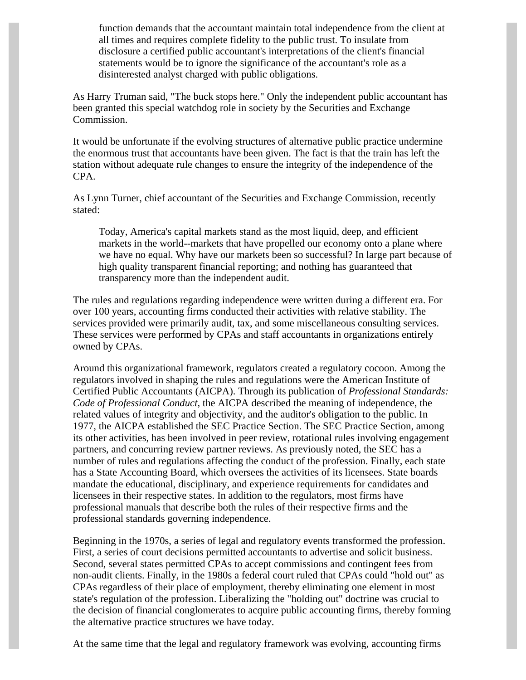function demands that the accountant maintain total independence from the client at all times and requires complete fidelity to the public trust. To insulate from disclosure a certified public accountant's interpretations of the client's financial statements would be to ignore the significance of the accountant's role as a disinterested analyst charged with public obligations.

As Harry Truman said, "The buck stops here." Only the independent public accountant has been granted this special watchdog role in society by the Securities and Exchange Commission.

It would be unfortunate if the evolving structures of alternative public practice undermine the enormous trust that accountants have been given. The fact is that the train has left the station without adequate rule changes to ensure the integrity of the independence of the CPA.

As Lynn Turner, chief accountant of the Securities and Exchange Commission, recently stated:

Today, America's capital markets stand as the most liquid, deep, and efficient markets in the world--markets that have propelled our economy onto a plane where we have no equal. Why have our markets been so successful? In large part because of high quality transparent financial reporting; and nothing has guaranteed that transparency more than the independent audit.

The rules and regulations regarding independence were written during a different era. For over 100 years, accounting firms conducted their activities with relative stability. The services provided were primarily audit, tax, and some miscellaneous consulting services. These services were performed by CPAs and staff accountants in organizations entirely owned by CPAs.

Around this organizational framework, regulators created a regulatory cocoon. Among the regulators involved in shaping the rules and regulations were the American Institute of Certified Public Accountants (AICPA). Through its publication of *Professional Standards: Code of Professional Conduct,* the AICPA described the meaning of independence, the related values of integrity and objectivity, and the auditor's obligation to the public. In 1977, the AICPA established the SEC Practice Section. The SEC Practice Section, among its other activities, has been involved in peer review, rotational rules involving engagement partners, and concurring review partner reviews. As previously noted, the SEC has a number of rules and regulations affecting the conduct of the profession. Finally, each state has a State Accounting Board, which oversees the activities of its licensees. State boards mandate the educational, disciplinary, and experience requirements for candidates and licensees in their respective states. In addition to the regulators, most firms have professional manuals that describe both the rules of their respective firms and the professional standards governing independence.

Beginning in the 1970s, a series of legal and regulatory events transformed the profession. First, a series of court decisions permitted accountants to advertise and solicit business. Second, several states permitted CPAs to accept commissions and contingent fees from non-audit clients. Finally, in the 1980s a federal court ruled that CPAs could "hold out" as CPAs regardless of their place of employment, thereby eliminating one element in most state's regulation of the profession. Liberalizing the "holding out" doctrine was crucial to the decision of financial conglomerates to acquire public accounting firms, thereby forming the alternative practice structures we have today.

At the same time that the legal and regulatory framework was evolving, accounting firms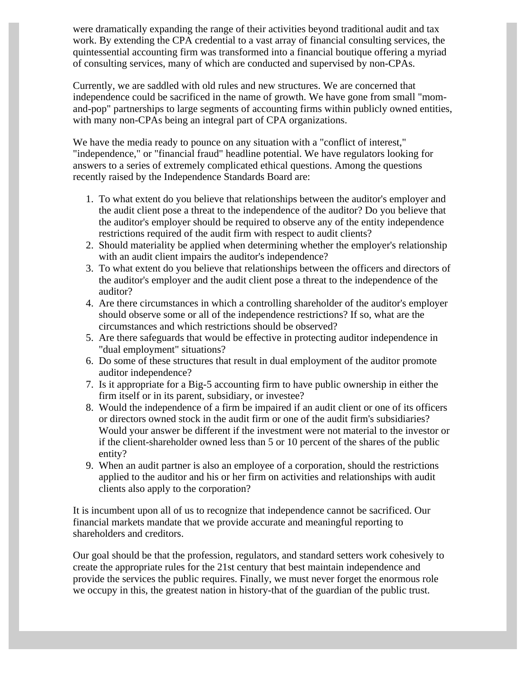were dramatically expanding the range of their activities beyond traditional audit and tax work. By extending the CPA credential to a vast array of financial consulting services, the quintessential accounting firm was transformed into a financial boutique offering a myriad of consulting services, many of which are conducted and supervised by non-CPAs.

Currently, we are saddled with old rules and new structures. We are concerned that independence could be sacrificed in the name of growth. We have gone from small "momand-pop" partnerships to large segments of accounting firms within publicly owned entities, with many non-CPAs being an integral part of CPA organizations.

We have the media ready to pounce on any situation with a "conflict of interest," "independence," or "financial fraud" headline potential. We have regulators looking for answers to a series of extremely complicated ethical questions. Among the questions recently raised by the Independence Standards Board are:

- 1. To what extent do you believe that relationships between the auditor's employer and the audit client pose a threat to the independence of the auditor? Do you believe that the auditor's employer should be required to observe any of the entity independence restrictions required of the audit firm with respect to audit clients?
- 2. Should materiality be applied when determining whether the employer's relationship with an audit client impairs the auditor's independence?
- 3. To what extent do you believe that relationships between the officers and directors of the auditor's employer and the audit client pose a threat to the independence of the auditor?
- 4. Are there circumstances in which a controlling shareholder of the auditor's employer should observe some or all of the independence restrictions? If so, what are the circumstances and which restrictions should be observed?
- 5. Are there safeguards that would be effective in protecting auditor independence in "dual employment" situations?
- 6. Do some of these structures that result in dual employment of the auditor promote auditor independence?
- 7. Is it appropriate for a Big-5 accounting firm to have public ownership in either the firm itself or in its parent, subsidiary, or investee?
- 8. Would the independence of a firm be impaired if an audit client or one of its officers or directors owned stock in the audit firm or one of the audit firm's subsidiaries? Would your answer be different if the investment were not material to the investor or if the client-shareholder owned less than 5 or 10 percent of the shares of the public entity?
- 9. When an audit partner is also an employee of a corporation, should the restrictions applied to the auditor and his or her firm on activities and relationships with audit clients also apply to the corporation?

It is incumbent upon all of us to recognize that independence cannot be sacrificed. Our financial markets mandate that we provide accurate and meaningful reporting to shareholders and creditors.

Our goal should be that the profession, regulators, and standard setters work cohesively to create the appropriate rules for the 21st century that best maintain independence and provide the services the public requires. Finally, we must never forget the enormous role we occupy in this, the greatest nation in history-that of the guardian of the public trust.